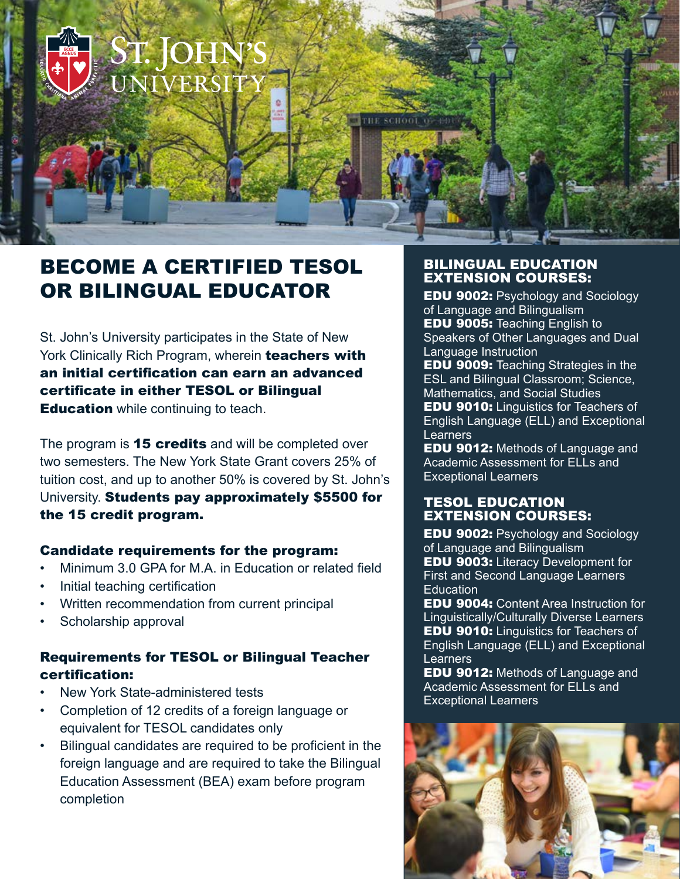

## BECOME A CERTIFIED TESOL OR BILINGUAL EDUCATOR

St. John's University participates in the State of New York Clinically Rich Program, wherein teachers with an initial certification can earn an advanced certificate in either TESOL or Bilingual **Education** while continuing to teach.

The program is 15 credits and will be completed over two semesters. The New York State Grant covers 25% of tuition cost, and up to another 50% is covered by St. John's University. Students pay approximately \$5500 for the 15 credit program.

#### Candidate requirements for the program:

- Minimum 3.0 GPA for M.A. in Education or related field
- Initial teaching certification
- Written recommendation from current principal
- Scholarship approval

### Requirements for TESOL or Bilingual Teacher certification:

- New York State-administered tests
- Completion of 12 credits of a foreign language or equivalent for TESOL candidates only
- Bilingual candidates are required to be proficient in the foreign language and are required to take the Bilingual Education Assessment (BEA) exam before program completion

#### BILINGUAL EDUCATION EXTENSION COURSES:

EDU 9002: Psychology and Sociology of Language and Bilingualism EDU 9005: Teaching English to Speakers of Other Languages and Dual Language Instruction

EDU 9009: Teaching Strategies in the ESL and Bilingual Classroom; Science, Mathematics, and Social Studies EDU 9010: Linguistics for Teachers of English Language (ELL) and Exceptional **Learners** 

EDU 9012: Methods of Language and Academic Assessment for ELLs and Exceptional Learners

#### TESOL EDUCATION EXTENSION COURSES:

EDU 9002: Psychology and Sociology of Language and Bilingualism EDU 9003: Literacy Development for First and Second Language Learners **Education** 

EDU 9004: Content Area Instruction for Linguistically/Culturally Diverse Learners EDU 9010: Linguistics for Teachers of English Language (ELL) and Exceptional Learners

**EDU 9012: Methods of Language and** Academic Assessment for ELLs and Exceptional Learners